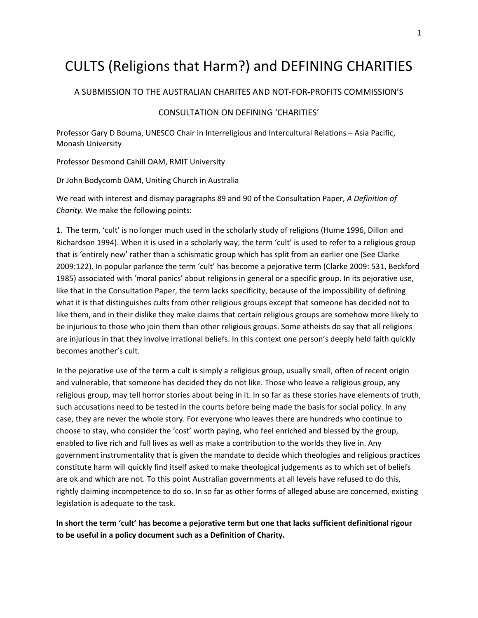## CULTS (Religions that Harm?) and DEFINING CHARITIES

## A SUBMISSION TO THE AUSTRALIAN CHARITES AND NOT-FOR-PROFITS COMMISSION'S

## CONSULTATION ON DEFINING 'CHARITIES'

Professor Gary D Bouma, UNESCO Chair in Interreligious and Intercultural Relations – Asia Pacific, Monash University

Professor Desmond Cahill OAM, RMIT University

Dr John Bodycomb OAM, Uniting Church in Australia

We read with interest and dismay paragraphs 89 and 90 of the Consultation Paper, *A Definition of Charity.* We make the following points:

1. The term, 'cult' is no longer much used in the scholarly study of religions (Hume 1996, Dillon and Richardson 1994). When it is used in a scholarly way, the term 'cult' is used to refer to a religious group that is 'entirely new' rather than a schismatic group which has split from an earlier one (See Clarke 2009:122). In popular parlance the term 'cult' has become a pejorative term (Clarke 2009: 531, Beckford 1985) associated with 'moral panics' about religions in general or a specific group. In its pejorative use, like that in the Consultation Paper, the term lacks specificity, because of the impossibility of defining what it is that distinguishes cults from other religious groups except that someone has decided not to like them, and in their dislike they make claims that certain religious groups are somehow more likely to be injurious to those who join them than other religious groups. Some atheists do say that all religions are injurious in that they involve irrational beliefs. In this context one person's deeply held faith quickly becomes another's cult.

In the pejorative use of the term a cult is simply a religious group, usually small, often of recent origin and vulnerable, that someone has decided they do not like. Those who leave a religious group, any religious group, may tell horror stories about being in it. In so far as these stories have elements of truth, such accusations need to be tested in the courts before being made the basis for social policy. In any case, they are never the whole story. For everyone who leaves there are hundreds who continue to choose to stay, who consider the 'cost' worth paying, who feel enriched and blessed by the group, enabled to live rich and full lives as well as make a contribution to the worlds they live in. Any government instrumentality that is given the mandate to decide which theologies and religious practices constitute harm will quickly find itself asked to make theological judgements as to which set of beliefs are ok and which are not. To this point Australian governments at all levels have refused to do this, rightly claiming incompetence to do so. In so far as other forms of alleged abuse are concerned, existing legislation is adequate to the task.

**In short the term 'cult' has become a pejorative term but one that lacks sufficient definitional rigour to be useful in a policy document such as a Definition of Charity.**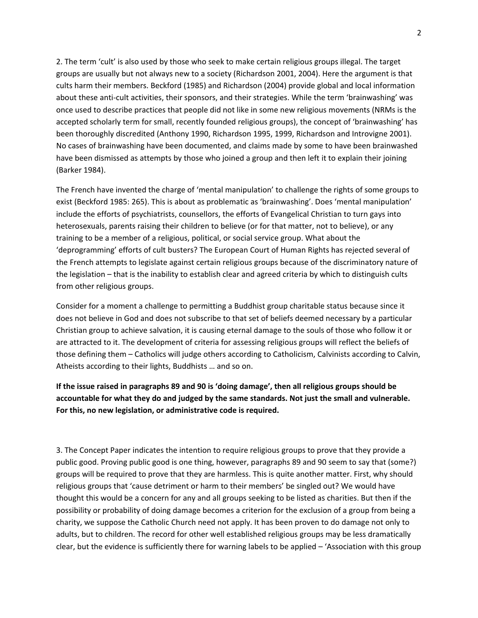2. The term 'cult' is also used by those who seek to make certain religious groups illegal. The target groups are usually but not always new to a society (Richardson 2001, 2004). Here the argument is that cults harm their members. Beckford (1985) and Richardson (2004) provide global and local information about these anti-cult activities, their sponsors, and their strategies. While the term 'brainwashing' was once used to describe practices that people did not like in some new religious movements (NRMs is the accepted scholarly term for small, recently founded religious groups), the concept of 'brainwashing' has been thoroughly discredited (Anthony 1990, Richardson 1995, 1999, Richardson and Introvigne 2001). No cases of brainwashing have been documented, and claims made by some to have been brainwashed have been dismissed as attempts by those who joined a group and then left it to explain their joining (Barker 1984).

The French have invented the charge of 'mental manipulation' to challenge the rights of some groups to exist (Beckford 1985: 265). This is about as problematic as 'brainwashing'. Does 'mental manipulation' include the efforts of psychiatrists, counsellors, the efforts of Evangelical Christian to turn gays into heterosexuals, parents raising their children to believe (or for that matter, not to believe), or any training to be a member of a religious, political, or social service group. What about the 'deprogramming' efforts of cult busters? The European Court of Human Rights has rejected several of the French attempts to legislate against certain religious groups because of the discriminatory nature of the legislation – that is the inability to establish clear and agreed criteria by which to distinguish cults from other religious groups.

Consider for a moment a challenge to permitting a Buddhist group charitable status because since it does not believe in God and does not subscribe to that set of beliefs deemed necessary by a particular Christian group to achieve salvation, it is causing eternal damage to the souls of those who follow it or are attracted to it. The development of criteria for assessing religious groups will reflect the beliefs of those defining them – Catholics will judge others according to Catholicism, Calvinists according to Calvin, Atheists according to their lights, Buddhists … and so on.

**If the issue raised in paragraphs 89 and 90 is 'doing damage', then all religious groups should be accountable for what they do and judged by the same standards. Not just the small and vulnerable. For this, no new legislation, or administrative code is required.** 

3. The Concept Paper indicates the intention to require religious groups to prove that they provide a public good. Proving public good is one thing, however, paragraphs 89 and 90 seem to say that (some?) groups will be required to prove that they are harmless. This is quite another matter. First, why should religious groups that 'cause detriment or harm to their members' be singled out? We would have thought this would be a concern for any and all groups seeking to be listed as charities. But then if the possibility or probability of doing damage becomes a criterion for the exclusion of a group from being a charity, we suppose the Catholic Church need not apply. It has been proven to do damage not only to adults, but to children. The record for other well established religious groups may be less dramatically clear, but the evidence is sufficiently there for warning labels to be applied – 'Association with this group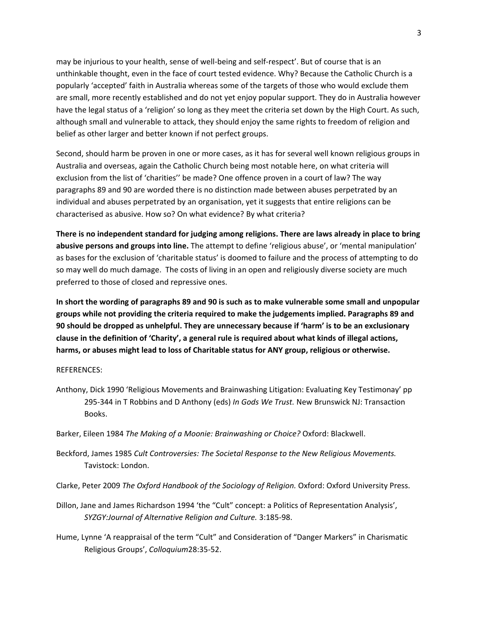may be injurious to your health, sense of well-being and self-respect'. But of course that is an unthinkable thought, even in the face of court tested evidence. Why? Because the Catholic Church is a popularly 'accepted' faith in Australia whereas some of the targets of those who would exclude them are small, more recently established and do not yet enjoy popular support. They do in Australia however have the legal status of a 'religion' so long as they meet the criteria set down by the High Court. As such, although small and vulnerable to attack, they should enjoy the same rights to freedom of religion and belief as other larger and better known if not perfect groups.

Second, should harm be proven in one or more cases, as it has for several well known religious groups in Australia and overseas, again the Catholic Church being most notable here, on what criteria will exclusion from the list of 'charities'' be made? One offence proven in a court of law? The way paragraphs 89 and 90 are worded there is no distinction made between abuses perpetrated by an individual and abuses perpetrated by an organisation, yet it suggests that entire religions can be characterised as abusive. How so? On what evidence? By what criteria?

**There is no independent standard for judging among religions. There are laws already in place to bring abusive persons and groups into line.** The attempt to define 'religious abuse', or 'mental manipulation' as bases for the exclusion of 'charitable status' is doomed to failure and the process of attempting to do so may well do much damage. The costs of living in an open and religiously diverse society are much preferred to those of closed and repressive ones.

**In short the wording of paragraphs 89 and 90 is such as to make vulnerable some small and unpopular groups while not providing the criteria required to make the judgements implied. Paragraphs 89 and 90 should be dropped as unhelpful. They are unnecessary because if 'harm' is to be an exclusionary clause in the definition of 'Charity', a general rule is required about what kinds of illegal actions, harms, or abuses might lead to loss of Charitable status for ANY group, religious or otherwise.**

## REFERENCES:

- Anthony, Dick 1990 'Religious Movements and Brainwashing Litigation: Evaluating Key Testimonay' pp 295-344 in T Robbins and D Anthony (eds) *In Gods We Trust.* New Brunswick NJ: Transaction Books.
- Barker, Eileen 1984 *The Making of a Moonie: Brainwashing or Choice?* Oxford: Blackwell.
- Beckford, James 1985 *Cult Controversies: The Societal Response to the New Religious Movements.*  Tavistock: London.
- Clarke, Peter 2009 *The Oxford Handbook of the Sociology of Religion.* Oxford: Oxford University Press.
- Dillon, Jane and James Richardson 1994 'the "Cult" concept: a Politics of Representation Analysis', *SYZGY:Journal of Alternative Religion and Culture.* 3:185-98.
- Hume, Lynne 'A reappraisal of the term "Cult" and Consideration of "Danger Markers" in Charismatic Religious Groups', *Colloquium*28:35-52.